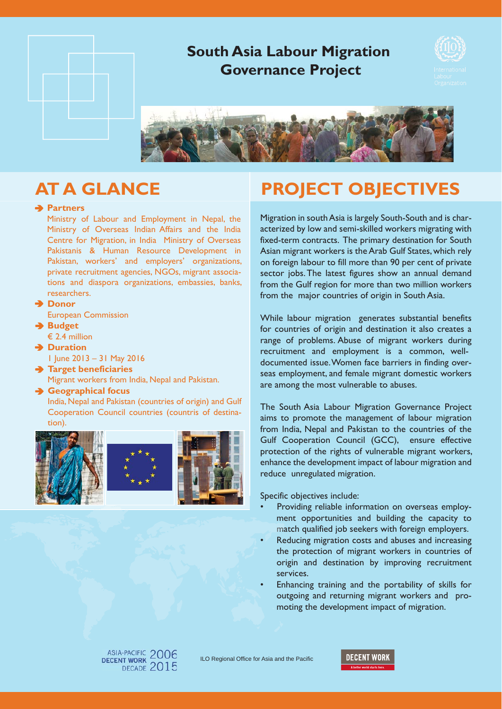

## **Partners**

Ministry of Labour and Employment in Nepal, the Ministry of Overseas Indian Affairs and the India Centre for Migration, in India Ministry of Overseas Pakistanis & Human Resource Development in Pakistan, workers' and employers' organizations, private recruitment agencies, NGOs, migrant associations and diaspora organizations, embassies, banks, researchers.

- **→ Donor** 
	- European Commission
- **→ Budget**  $\epsilon$  2.4 million
- **Duration**
	- - 1 June 2013 31 May 2016
- **Target beneficiaries** Migrant workers from India, Nepal and Pakistan.

## **Geographical focus**

India, Nepal and Pakistan (countries of origin) and Gulf Cooperation Council countries (countris of destination).







# **AT A GLANCE PROJECT OBJECTIVES**

Migration in south Asia is largely South-South and is characterized by low and semi-skilled workers migrating with fixed-term contracts. The primary destination for South Asian migrant workers is the Arab Gulf States, which rely on foreign labour to fill more than 90 per cent of private sector jobs. The latest figures show an annual demand from the Gulf region for more than two million workers from the major countries of origin in South Asia.

While labour migration generates substantial benefits for countries of origin and destination it also creates a range of problems. Abuse of migrant workers during recruitment and employment is a common, welldocumented issue. Women face barriers in finding overseas employment, and female migrant domestic workers are among the most vulnerable to abuses.

The South Asia Labour Migration Governance Project aims to promote the management of labour migration from India, Nepal and Pakistan to the countries of the Gulf Cooperation Council (GCC), ensure effective protection of the rights of vulnerable migrant workers, enhance the development impact of labour migration and reduce unregulated migration.

Specific objectives include:

- Providing reliable information on overseas employment opportunities and building the capacity to match qualified job seekers with foreign employers. ma
- Reducing migration costs and abuses and increasing the protection of migrant workers in countries of origin and destination by improving recruitment services.
- Enhancing training and the portability of skills for outgoing and returning migrant workers and promoting the development impact of migration.



ILO Regional Office for Asia and the Pacific